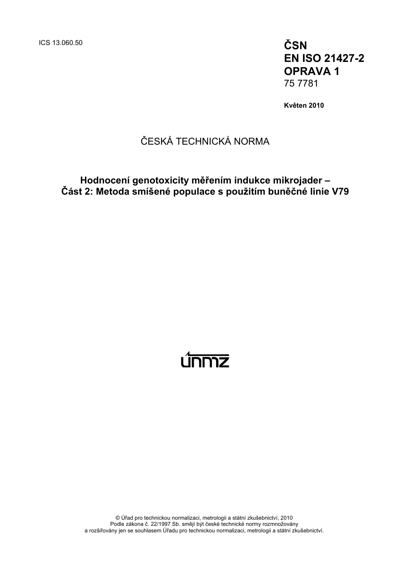ICS 13.060.50 **ČSN** 

**EN ISO 21427-2 OPRAVA 1**  75 7781

**Květen 2010** 

### ČESKÁ TECHNICKÁ NORMA

**Hodnocení genotoxicity měřením indukce mikrojader – Část 2: Metoda smíšené populace s použitím buněčné linie V79** 

# $\sqrt{nmz}$

© Úřad pro technickou normalizaci, metrologii a státní zkušebnictví, 2010 Podle zákona č. 22/1997 Sb. smějí být české technické normy rozmnožovány a rozšiřovány jen se souhlasem Úřadu pro technickou normalizaci, metrologii a státní zkušebnictví.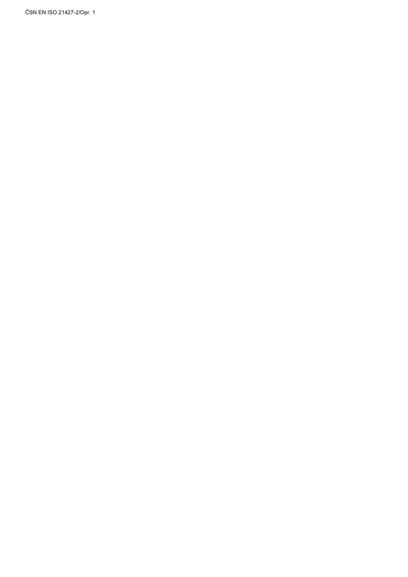ČSN EN ISO 21427-2/Opr. 1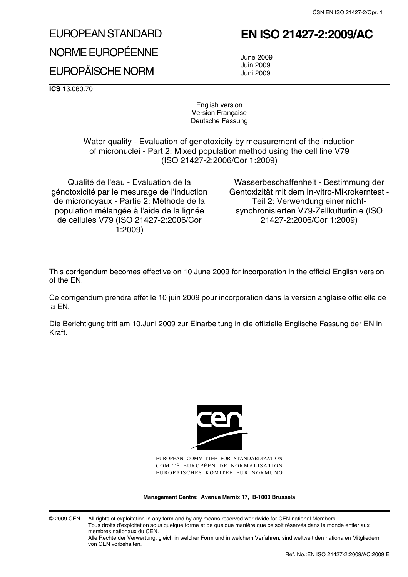# EUROPEAN STANDARD NORME EUROPÉENNE EUROPÄISCHE NORM

# **EN ISO 21427-2:2009/AC**

June 2009 Juin 2009 Juni 2009

**ICS** 13.060.70

English version Version Française Deutsche Fassung

Water quality - Evaluation of genotoxicity by measurement of the induction of micronuclei - Part 2: Mixed population method using the cell line V79 (ISO 21427-2:2006/Cor 1:2009)

Qualité de l'eau - Evaluation de la génotoxicité par le mesurage de l'induction de micronoyaux - Partie 2: Méthode de la population mélangée à l'aide de la lignée de cellules V79 (ISO 21427-2:2006/Cor 1:2009)

Wasserbeschaffenheit - Bestimmung der Gentoxizität mit dem In-vitro-Mikrokerntest - Teil 2: Verwendung einer nichtsynchronisierten V79-Zellkulturlinie (ISO 21427-2:2006/Cor 1:2009)

This corrigendum becomes effective on 10 June 2009 for incorporation in the official English version of the EN.

Ce corrigendum prendra effet le 10 juin 2009 pour incorporation dans la version anglaise officielle de la EN.

Die Berichtigung tritt am 10.Juni 2009 zur Einarbeitung in die offizielle Englische Fassung der EN in Kraft.



EUROPEAN COMMITTEE FOR STANDARDIZATION COMITÉ EUROPÉEN DE NORMALISATION EUROPÄISCHES KOMITEE FÜR NORMUNG

**Management Centre: Avenue Marnix 17, B-1000 Brussels**

© 2009 CEN All rights of exploitation in any form and by any means reserved worldwide for CEN national Members. Tous droits d'exploitation sous quelque forme et de quelque manière que ce soit réservés dans le monde entier aux membres nationaux du CEN. Alle Rechte der Verwertung, gleich in welcher Form und in welchem Verfahren, sind weltweit den nationalen Mitgliedern

von CEN vorbehalten.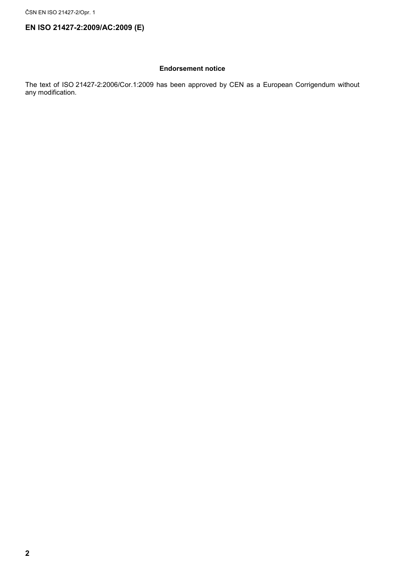ČSN EN ISO 21427-2/Opr. 1

#### **EN ISO 21427-2:2009/AC:2009 (E)**

#### **Endorsement notice**

The text of ISO 21427-2:2006/Cor.1:2009 has been approved by CEN as a European Corrigendum without any modification.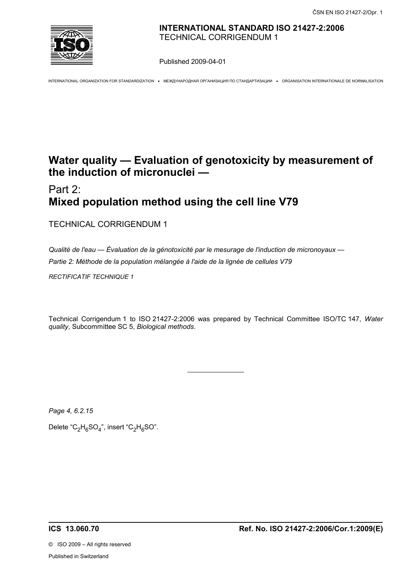

#### **INTERNATIONAL STANDARD ISO 21427-2:2006**  TECHNICAL CORRIGENDUM 1

Published 2009-04-01

INTERNATIONAL ORGANIZATION FOR STANDARDIZATION • МЕЖДУНАРОДНАЯ ОРГАНИЗАЦИЯ ПО СТАНДАРТИЗАЦИИ • ORGANISATION INTERNATIONALE DE NORMALISATION

## **Water quality — Evaluation of genotoxicity by measurement of the induction of micronuclei —**

### Part 2: **Mixed population method using the cell line V79**

TECHNICAL CORRIGENDUM 1

*Qualité de l'eau — Évaluation de la génotoxicité par le mesurage de l'induction de micronoyaux — Partie 2: Méthode de la population mélangée à l'aide de la lignée de cellules V79*

 $\overline{a}$ 

*RECTIFICATIF TECHNIQUE 1*

Technical Corrigendum 1 to ISO 21427-2:2006 was prepared by Technical Committee ISO/TC 147, *Water quality*, Subcommittee SC 5, *Biological methods*.

*Page 4, 6.2.15*  Delete " $C_2H_6SO_4$ ", insert " $C_2H_6SO$ ".

©ISO 2009 – All rights reserved